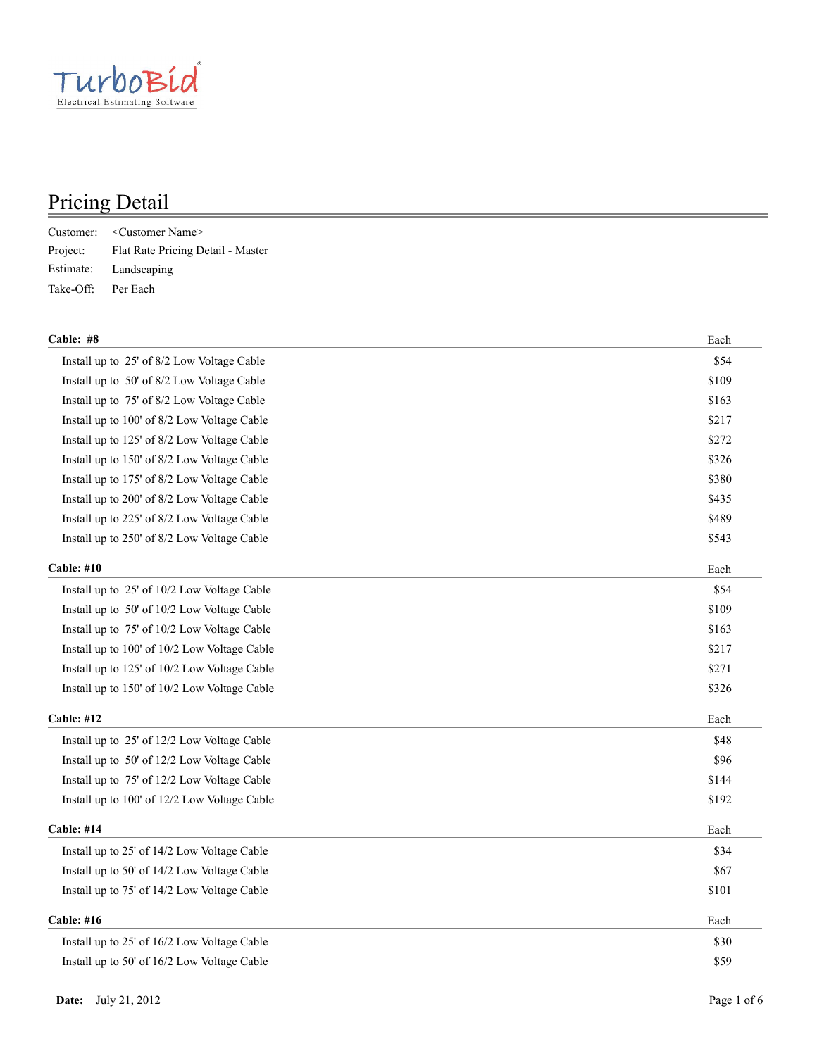

|                    | Customer: < Customer Name>                 |
|--------------------|--------------------------------------------|
|                    | Project: Flat Rate Pricing Detail - Master |
|                    | Estimate: Landscaping                      |
| Take-Off: Per Each |                                            |

| \$54<br>Install up to 25' of 8/2 Low Voltage Cable<br>\$109<br>Install up to 50' of 8/2 Low Voltage Cable<br>\$163<br>Install up to 75' of 8/2 Low Voltage Cable<br>\$217<br>Install up to 100' of 8/2 Low Voltage Cable<br>\$272<br>Install up to 125' of 8/2 Low Voltage Cable<br>\$326<br>Install up to 150' of 8/2 Low Voltage Cable<br>\$380<br>Install up to 175' of 8/2 Low Voltage Cable<br>\$435<br>Install up to 200' of 8/2 Low Voltage Cable<br>\$489<br>Install up to 225' of 8/2 Low Voltage Cable<br>Install up to 250' of 8/2 Low Voltage Cable<br>\$543<br>Cable: #10<br>Each<br>Install up to 25' of 10/2 Low Voltage Cable<br>\$54<br>Install up to 50' of 10/2 Low Voltage Cable<br>\$109<br>\$163<br>Install up to 75' of 10/2 Low Voltage Cable<br>\$217<br>Install up to 100' of 10/2 Low Voltage Cable<br>\$271<br>Install up to 125' of 10/2 Low Voltage Cable<br>\$326<br>Install up to 150' of 10/2 Low Voltage Cable<br><b>Cable: #12</b><br>Each<br>\$48<br>Install up to 25' of 12/2 Low Voltage Cable<br>\$96<br>Install up to 50' of 12/2 Low Voltage Cable<br>\$144<br>Install up to 75' of 12/2 Low Voltage Cable<br>Install up to 100' of 12/2 Low Voltage Cable<br>\$192<br><b>Cable: #14</b><br>Each<br>\$34<br>Install up to 25' of 14/2 Low Voltage Cable<br>Install up to 50' of 14/2 Low Voltage Cable<br>\$67<br>\$101<br>Install up to 75' of 14/2 Low Voltage Cable<br><b>Cable: #16</b><br>Each<br>\$30<br>Install up to 25' of 16/2 Low Voltage Cable<br>\$59<br>Install up to 50' of 16/2 Low Voltage Cable | Cable: #8 | Each |
|------------------------------------------------------------------------------------------------------------------------------------------------------------------------------------------------------------------------------------------------------------------------------------------------------------------------------------------------------------------------------------------------------------------------------------------------------------------------------------------------------------------------------------------------------------------------------------------------------------------------------------------------------------------------------------------------------------------------------------------------------------------------------------------------------------------------------------------------------------------------------------------------------------------------------------------------------------------------------------------------------------------------------------------------------------------------------------------------------------------------------------------------------------------------------------------------------------------------------------------------------------------------------------------------------------------------------------------------------------------------------------------------------------------------------------------------------------------------------------------------------------------------------------------------------------|-----------|------|
|                                                                                                                                                                                                                                                                                                                                                                                                                                                                                                                                                                                                                                                                                                                                                                                                                                                                                                                                                                                                                                                                                                                                                                                                                                                                                                                                                                                                                                                                                                                                                            |           |      |
|                                                                                                                                                                                                                                                                                                                                                                                                                                                                                                                                                                                                                                                                                                                                                                                                                                                                                                                                                                                                                                                                                                                                                                                                                                                                                                                                                                                                                                                                                                                                                            |           |      |
|                                                                                                                                                                                                                                                                                                                                                                                                                                                                                                                                                                                                                                                                                                                                                                                                                                                                                                                                                                                                                                                                                                                                                                                                                                                                                                                                                                                                                                                                                                                                                            |           |      |
|                                                                                                                                                                                                                                                                                                                                                                                                                                                                                                                                                                                                                                                                                                                                                                                                                                                                                                                                                                                                                                                                                                                                                                                                                                                                                                                                                                                                                                                                                                                                                            |           |      |
|                                                                                                                                                                                                                                                                                                                                                                                                                                                                                                                                                                                                                                                                                                                                                                                                                                                                                                                                                                                                                                                                                                                                                                                                                                                                                                                                                                                                                                                                                                                                                            |           |      |
|                                                                                                                                                                                                                                                                                                                                                                                                                                                                                                                                                                                                                                                                                                                                                                                                                                                                                                                                                                                                                                                                                                                                                                                                                                                                                                                                                                                                                                                                                                                                                            |           |      |
|                                                                                                                                                                                                                                                                                                                                                                                                                                                                                                                                                                                                                                                                                                                                                                                                                                                                                                                                                                                                                                                                                                                                                                                                                                                                                                                                                                                                                                                                                                                                                            |           |      |
|                                                                                                                                                                                                                                                                                                                                                                                                                                                                                                                                                                                                                                                                                                                                                                                                                                                                                                                                                                                                                                                                                                                                                                                                                                                                                                                                                                                                                                                                                                                                                            |           |      |
|                                                                                                                                                                                                                                                                                                                                                                                                                                                                                                                                                                                                                                                                                                                                                                                                                                                                                                                                                                                                                                                                                                                                                                                                                                                                                                                                                                                                                                                                                                                                                            |           |      |
|                                                                                                                                                                                                                                                                                                                                                                                                                                                                                                                                                                                                                                                                                                                                                                                                                                                                                                                                                                                                                                                                                                                                                                                                                                                                                                                                                                                                                                                                                                                                                            |           |      |
|                                                                                                                                                                                                                                                                                                                                                                                                                                                                                                                                                                                                                                                                                                                                                                                                                                                                                                                                                                                                                                                                                                                                                                                                                                                                                                                                                                                                                                                                                                                                                            |           |      |
|                                                                                                                                                                                                                                                                                                                                                                                                                                                                                                                                                                                                                                                                                                                                                                                                                                                                                                                                                                                                                                                                                                                                                                                                                                                                                                                                                                                                                                                                                                                                                            |           |      |
|                                                                                                                                                                                                                                                                                                                                                                                                                                                                                                                                                                                                                                                                                                                                                                                                                                                                                                                                                                                                                                                                                                                                                                                                                                                                                                                                                                                                                                                                                                                                                            |           |      |
|                                                                                                                                                                                                                                                                                                                                                                                                                                                                                                                                                                                                                                                                                                                                                                                                                                                                                                                                                                                                                                                                                                                                                                                                                                                                                                                                                                                                                                                                                                                                                            |           |      |
|                                                                                                                                                                                                                                                                                                                                                                                                                                                                                                                                                                                                                                                                                                                                                                                                                                                                                                                                                                                                                                                                                                                                                                                                                                                                                                                                                                                                                                                                                                                                                            |           |      |
|                                                                                                                                                                                                                                                                                                                                                                                                                                                                                                                                                                                                                                                                                                                                                                                                                                                                                                                                                                                                                                                                                                                                                                                                                                                                                                                                                                                                                                                                                                                                                            |           |      |
|                                                                                                                                                                                                                                                                                                                                                                                                                                                                                                                                                                                                                                                                                                                                                                                                                                                                                                                                                                                                                                                                                                                                                                                                                                                                                                                                                                                                                                                                                                                                                            |           |      |
|                                                                                                                                                                                                                                                                                                                                                                                                                                                                                                                                                                                                                                                                                                                                                                                                                                                                                                                                                                                                                                                                                                                                                                                                                                                                                                                                                                                                                                                                                                                                                            |           |      |
|                                                                                                                                                                                                                                                                                                                                                                                                                                                                                                                                                                                                                                                                                                                                                                                                                                                                                                                                                                                                                                                                                                                                                                                                                                                                                                                                                                                                                                                                                                                                                            |           |      |
|                                                                                                                                                                                                                                                                                                                                                                                                                                                                                                                                                                                                                                                                                                                                                                                                                                                                                                                                                                                                                                                                                                                                                                                                                                                                                                                                                                                                                                                                                                                                                            |           |      |
|                                                                                                                                                                                                                                                                                                                                                                                                                                                                                                                                                                                                                                                                                                                                                                                                                                                                                                                                                                                                                                                                                                                                                                                                                                                                                                                                                                                                                                                                                                                                                            |           |      |
|                                                                                                                                                                                                                                                                                                                                                                                                                                                                                                                                                                                                                                                                                                                                                                                                                                                                                                                                                                                                                                                                                                                                                                                                                                                                                                                                                                                                                                                                                                                                                            |           |      |
|                                                                                                                                                                                                                                                                                                                                                                                                                                                                                                                                                                                                                                                                                                                                                                                                                                                                                                                                                                                                                                                                                                                                                                                                                                                                                                                                                                                                                                                                                                                                                            |           |      |
|                                                                                                                                                                                                                                                                                                                                                                                                                                                                                                                                                                                                                                                                                                                                                                                                                                                                                                                                                                                                                                                                                                                                                                                                                                                                                                                                                                                                                                                                                                                                                            |           |      |
|                                                                                                                                                                                                                                                                                                                                                                                                                                                                                                                                                                                                                                                                                                                                                                                                                                                                                                                                                                                                                                                                                                                                                                                                                                                                                                                                                                                                                                                                                                                                                            |           |      |
|                                                                                                                                                                                                                                                                                                                                                                                                                                                                                                                                                                                                                                                                                                                                                                                                                                                                                                                                                                                                                                                                                                                                                                                                                                                                                                                                                                                                                                                                                                                                                            |           |      |
|                                                                                                                                                                                                                                                                                                                                                                                                                                                                                                                                                                                                                                                                                                                                                                                                                                                                                                                                                                                                                                                                                                                                                                                                                                                                                                                                                                                                                                                                                                                                                            |           |      |
|                                                                                                                                                                                                                                                                                                                                                                                                                                                                                                                                                                                                                                                                                                                                                                                                                                                                                                                                                                                                                                                                                                                                                                                                                                                                                                                                                                                                                                                                                                                                                            |           |      |
|                                                                                                                                                                                                                                                                                                                                                                                                                                                                                                                                                                                                                                                                                                                                                                                                                                                                                                                                                                                                                                                                                                                                                                                                                                                                                                                                                                                                                                                                                                                                                            |           |      |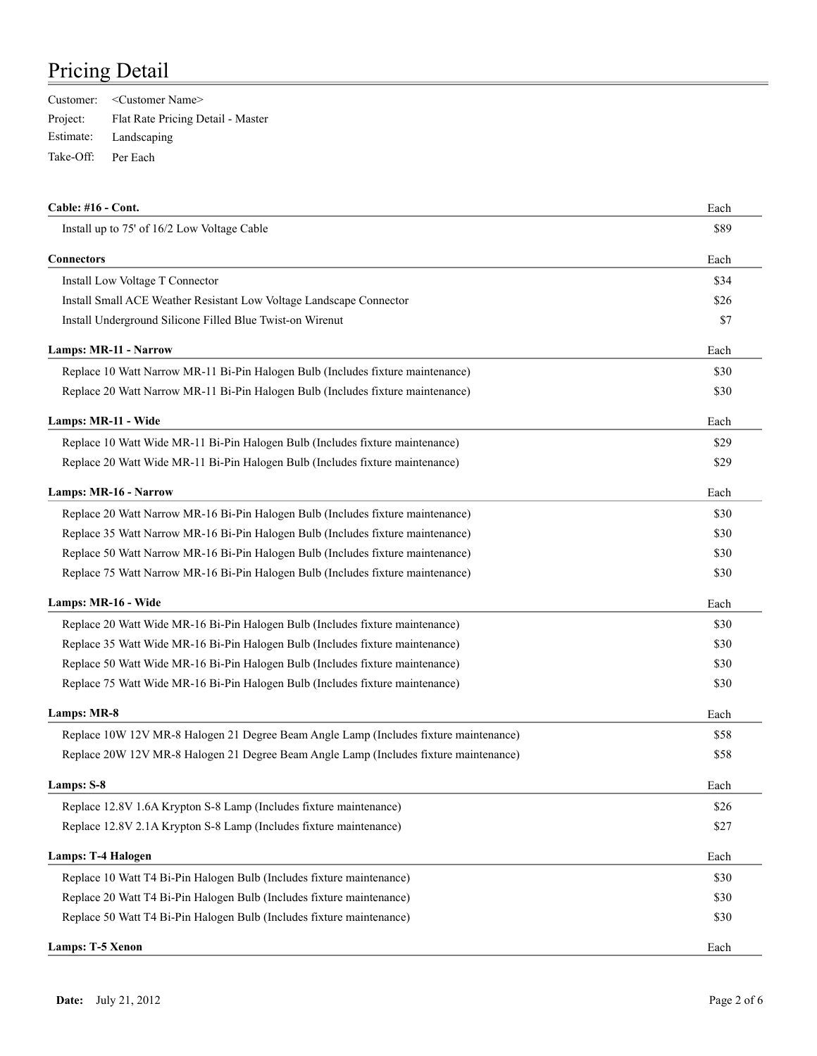|                    | Customer: < Customer Name>                 |
|--------------------|--------------------------------------------|
|                    | Project: Flat Rate Pricing Detail - Master |
|                    | Estimate: Landscaping                      |
| Take-Off: Per Each |                                            |

| Cable: #16 - Cont.                                                                    | Each |
|---------------------------------------------------------------------------------------|------|
| Install up to 75' of 16/2 Low Voltage Cable                                           | \$89 |
| Connectors                                                                            | Each |
| Install Low Voltage T Connector                                                       | \$34 |
| Install Small ACE Weather Resistant Low Voltage Landscape Connector                   | \$26 |
| Install Underground Silicone Filled Blue Twist-on Wirenut                             | \$7  |
| <b>Lamps: MR-11 - Narrow</b>                                                          | Each |
| Replace 10 Watt Narrow MR-11 Bi-Pin Halogen Bulb (Includes fixture maintenance)       | \$30 |
| Replace 20 Watt Narrow MR-11 Bi-Pin Halogen Bulb (Includes fixture maintenance)       | \$30 |
| Lamps: MR-11 - Wide                                                                   | Each |
| Replace 10 Watt Wide MR-11 Bi-Pin Halogen Bulb (Includes fixture maintenance)         | \$29 |
| Replace 20 Watt Wide MR-11 Bi-Pin Halogen Bulb (Includes fixture maintenance)         | \$29 |
| Lamps: MR-16 - Narrow                                                                 | Each |
| Replace 20 Watt Narrow MR-16 Bi-Pin Halogen Bulb (Includes fixture maintenance)       | \$30 |
| Replace 35 Watt Narrow MR-16 Bi-Pin Halogen Bulb (Includes fixture maintenance)       | \$30 |
| Replace 50 Watt Narrow MR-16 Bi-Pin Halogen Bulb (Includes fixture maintenance)       | \$30 |
| Replace 75 Watt Narrow MR-16 Bi-Pin Halogen Bulb (Includes fixture maintenance)       | \$30 |
| Lamps: MR-16 - Wide                                                                   | Each |
| Replace 20 Watt Wide MR-16 Bi-Pin Halogen Bulb (Includes fixture maintenance)         | \$30 |
| Replace 35 Watt Wide MR-16 Bi-Pin Halogen Bulb (Includes fixture maintenance)         | \$30 |
| Replace 50 Watt Wide MR-16 Bi-Pin Halogen Bulb (Includes fixture maintenance)         | \$30 |
| Replace 75 Watt Wide MR-16 Bi-Pin Halogen Bulb (Includes fixture maintenance)         | \$30 |
| Lamps: MR-8                                                                           | Each |
| Replace 10W 12V MR-8 Halogen 21 Degree Beam Angle Lamp (Includes fixture maintenance) | \$58 |
| Replace 20W 12V MR-8 Halogen 21 Degree Beam Angle Lamp (Includes fixture maintenance) | \$58 |
| Lamps: S-8                                                                            | Each |
| Replace 12.8V 1.6A Krypton S-8 Lamp (Includes fixture maintenance)                    | \$26 |
| Replace 12.8V 2.1A Krypton S-8 Lamp (Includes fixture maintenance)                    | \$27 |
| <b>Lamps: T-4 Halogen</b>                                                             | Each |
| Replace 10 Watt T4 Bi-Pin Halogen Bulb (Includes fixture maintenance)                 | \$30 |
| Replace 20 Watt T4 Bi-Pin Halogen Bulb (Includes fixture maintenance)                 | \$30 |
| Replace 50 Watt T4 Bi-Pin Halogen Bulb (Includes fixture maintenance)                 | \$30 |
| Lamps: T-5 Xenon                                                                      | Each |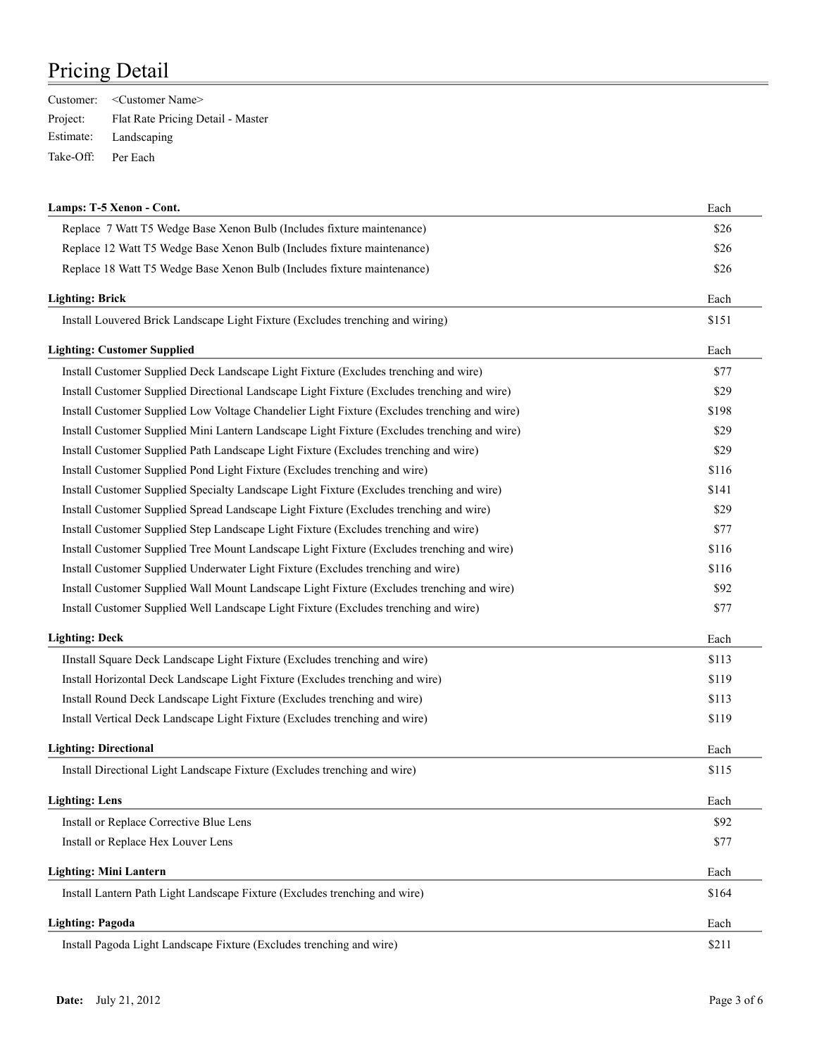|                    | Customer: < Customer Name>                 |
|--------------------|--------------------------------------------|
|                    | Project: Flat Rate Pricing Detail - Master |
|                    | Estimate: Landscaping                      |
| Take-Off: Per Each |                                            |

| Lamps: T-5 Xenon - Cont.                                                                     | Each  |
|----------------------------------------------------------------------------------------------|-------|
| Replace 7 Watt T5 Wedge Base Xenon Bulb (Includes fixture maintenance)                       | \$26  |
| Replace 12 Watt T5 Wedge Base Xenon Bulb (Includes fixture maintenance)                      | \$26  |
| Replace 18 Watt T5 Wedge Base Xenon Bulb (Includes fixture maintenance)                      | \$26  |
| <b>Lighting: Brick</b>                                                                       | Each  |
| Install Louvered Brick Landscape Light Fixture (Excludes trenching and wiring)               | \$151 |
| <b>Lighting: Customer Supplied</b>                                                           | Each  |
| Install Customer Supplied Deck Landscape Light Fixture (Excludes trenching and wire)         | \$77  |
| Install Customer Supplied Directional Landscape Light Fixture (Excludes trenching and wire)  | \$29  |
| Install Customer Supplied Low Voltage Chandelier Light Fixture (Excludes trenching and wire) | \$198 |
| Install Customer Supplied Mini Lantern Landscape Light Fixture (Excludes trenching and wire) | \$29  |
| Install Customer Supplied Path Landscape Light Fixture (Excludes trenching and wire)         | \$29  |
| Install Customer Supplied Pond Light Fixture (Excludes trenching and wire)                   | \$116 |
| Install Customer Supplied Specialty Landscape Light Fixture (Excludes trenching and wire)    | \$141 |
| Install Customer Supplied Spread Landscape Light Fixture (Excludes trenching and wire)       | \$29  |
| Install Customer Supplied Step Landscape Light Fixture (Excludes trenching and wire)         | \$77  |
| Install Customer Supplied Tree Mount Landscape Light Fixture (Excludes trenching and wire)   | \$116 |
| Install Customer Supplied Underwater Light Fixture (Excludes trenching and wire)             | \$116 |
| Install Customer Supplied Wall Mount Landscape Light Fixture (Excludes trenching and wire)   | \$92  |
| Install Customer Supplied Well Landscape Light Fixture (Excludes trenching and wire)         | \$77  |
| <b>Lighting: Deck</b>                                                                        | Each  |
| IInstall Square Deck Landscape Light Fixture (Excludes trenching and wire)                   | \$113 |
| Install Horizontal Deck Landscape Light Fixture (Excludes trenching and wire)                | \$119 |
| Install Round Deck Landscape Light Fixture (Excludes trenching and wire)                     | \$113 |
| Install Vertical Deck Landscape Light Fixture (Excludes trenching and wire)                  | \$119 |
| <b>Lighting: Directional</b>                                                                 | Each  |
| Install Directional Light Landscape Fixture (Excludes trenching and wire)                    | \$115 |
| <b>Lighting: Lens</b>                                                                        | Each  |
| Install or Replace Corrective Blue Lens                                                      | \$92  |
| Install or Replace Hex Louver Lens                                                           | \$77  |
| <b>Lighting: Mini Lantern</b>                                                                | Each  |
| Install Lantern Path Light Landscape Fixture (Excludes trenching and wire)                   | \$164 |
| <b>Lighting: Pagoda</b>                                                                      | Each  |
| Install Pagoda Light Landscape Fixture (Excludes trenching and wire)                         | \$211 |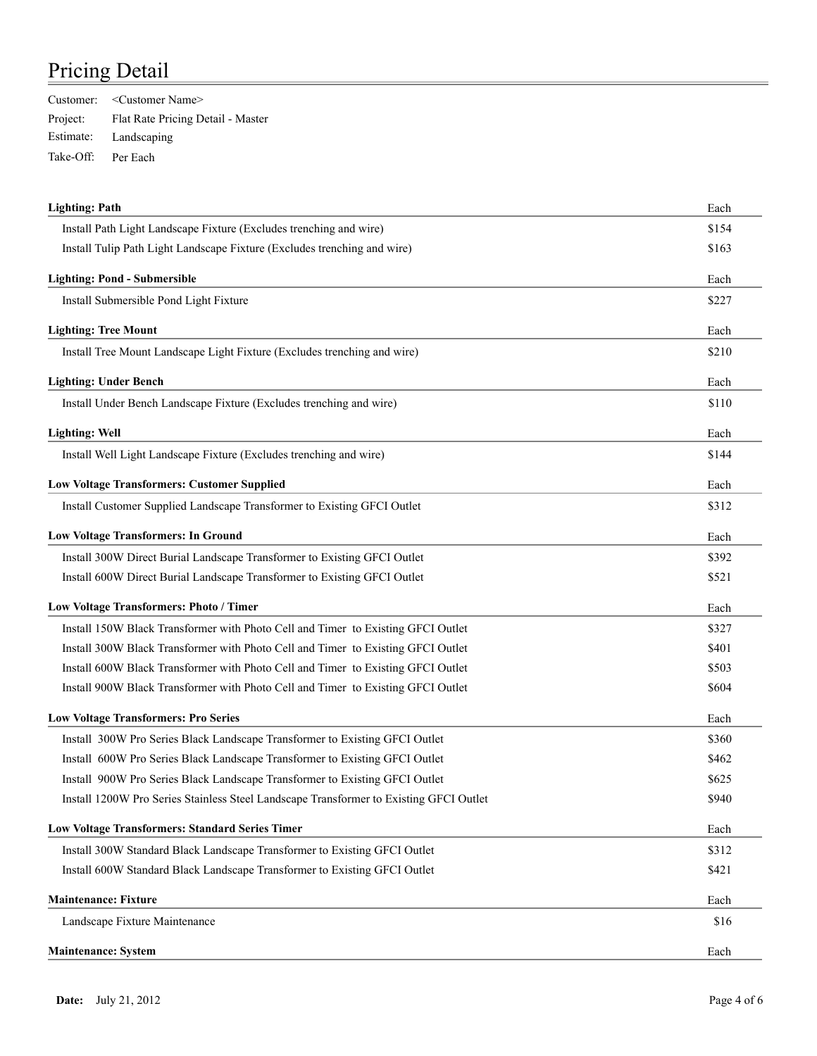|                    | Customer: < Customer Name>                 |
|--------------------|--------------------------------------------|
|                    | Project: Flat Rate Pricing Detail - Master |
|                    | Estimate: Landscaping                      |
| Take-Off: Per Each |                                            |

| <b>Lighting: Path</b>                                                                  | Each  |
|----------------------------------------------------------------------------------------|-------|
| Install Path Light Landscape Fixture (Excludes trenching and wire)                     | \$154 |
| Install Tulip Path Light Landscape Fixture (Excludes trenching and wire)               | \$163 |
| <b>Lighting: Pond - Submersible</b>                                                    | Each  |
| Install Submersible Pond Light Fixture                                                 | \$227 |
| <b>Lighting: Tree Mount</b>                                                            | Each  |
| Install Tree Mount Landscape Light Fixture (Excludes trenching and wire)               | \$210 |
| <b>Lighting: Under Bench</b>                                                           | Each  |
| Install Under Bench Landscape Fixture (Excludes trenching and wire)                    | \$110 |
| <b>Lighting: Well</b>                                                                  | Each  |
| Install Well Light Landscape Fixture (Excludes trenching and wire)                     | \$144 |
| <b>Low Voltage Transformers: Customer Supplied</b>                                     | Each  |
| Install Customer Supplied Landscape Transformer to Existing GFCI Outlet                | \$312 |
| <b>Low Voltage Transformers: In Ground</b>                                             | Each  |
| Install 300W Direct Burial Landscape Transformer to Existing GFCI Outlet               | \$392 |
| Install 600W Direct Burial Landscape Transformer to Existing GFCI Outlet               | \$521 |
| Low Voltage Transformers: Photo / Timer                                                | Each  |
| Install 150W Black Transformer with Photo Cell and Timer to Existing GFCI Outlet       | \$327 |
| Install 300W Black Transformer with Photo Cell and Timer to Existing GFCI Outlet       | \$401 |
| Install 600W Black Transformer with Photo Cell and Timer to Existing GFCI Outlet       | \$503 |
| Install 900W Black Transformer with Photo Cell and Timer to Existing GFCI Outlet       | \$604 |
| <b>Low Voltage Transformers: Pro Series</b>                                            | Each  |
| Install 300W Pro Series Black Landscape Transformer to Existing GFCI Outlet            | \$360 |
| Install 600W Pro Series Black Landscape Transformer to Existing GFCI Outlet            | \$462 |
| Install 900W Pro Series Black Landscape Transformer to Existing GFCI Outlet            | \$625 |
| Install 1200W Pro Series Stainless Steel Landscape Transformer to Existing GFCI Outlet | \$940 |
| <b>Low Voltage Transformers: Standard Series Timer</b>                                 | Each  |
| Install 300W Standard Black Landscape Transformer to Existing GFCI Outlet              | \$312 |
| Install 600W Standard Black Landscape Transformer to Existing GFCI Outlet              | \$421 |
| <b>Maintenance: Fixture</b>                                                            | Each  |
| Landscape Fixture Maintenance                                                          | \$16  |
| <b>Maintenance: System</b>                                                             | Each  |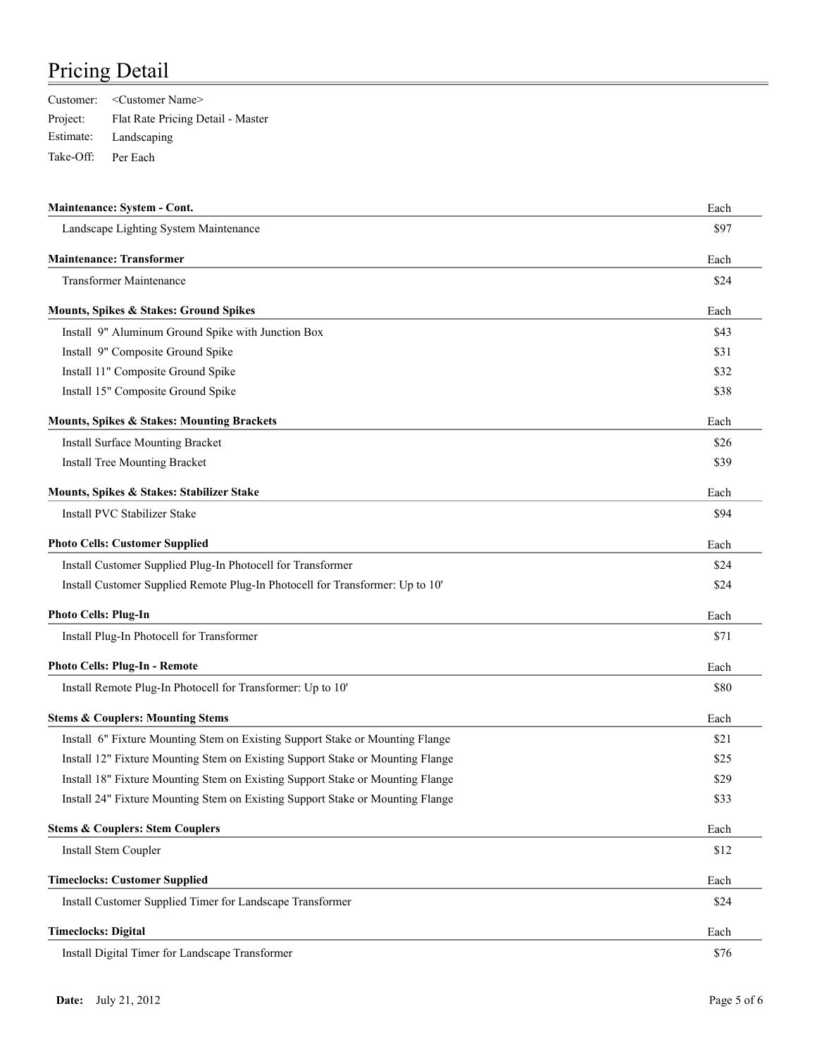|                    | Customer: < Customer Name>                 |
|--------------------|--------------------------------------------|
|                    | Project: Flat Rate Pricing Detail - Master |
|                    | Estimate: Landscaping                      |
| Take-Off: Per Each |                                            |

| Maintenance: System - Cont.                                                    | Each |
|--------------------------------------------------------------------------------|------|
| Landscape Lighting System Maintenance                                          | \$97 |
| <b>Maintenance: Transformer</b>                                                | Each |
| <b>Transformer Maintenance</b>                                                 | \$24 |
| Mounts, Spikes & Stakes: Ground Spikes                                         | Each |
| Install 9" Aluminum Ground Spike with Junction Box                             | \$43 |
| Install 9" Composite Ground Spike                                              | \$31 |
| Install 11" Composite Ground Spike                                             | \$32 |
| Install 15" Composite Ground Spike                                             | \$38 |
| Mounts, Spikes & Stakes: Mounting Brackets                                     | Each |
| Install Surface Mounting Bracket                                               | \$26 |
| <b>Install Tree Mounting Bracket</b>                                           | \$39 |
| Mounts, Spikes & Stakes: Stabilizer Stake                                      | Each |
| Install PVC Stabilizer Stake                                                   | \$94 |
| <b>Photo Cells: Customer Supplied</b>                                          | Each |
| Install Customer Supplied Plug-In Photocell for Transformer                    | \$24 |
| Install Customer Supplied Remote Plug-In Photocell for Transformer: Up to 10'  | \$24 |
| <b>Photo Cells: Plug-In</b>                                                    | Each |
| Install Plug-In Photocell for Transformer                                      | \$71 |
| <b>Photo Cells: Plug-In - Remote</b>                                           | Each |
| Install Remote Plug-In Photocell for Transformer: Up to 10'                    | \$80 |
| <b>Stems &amp; Couplers: Mounting Stems</b>                                    | Each |
| Install 6" Fixture Mounting Stem on Existing Support Stake or Mounting Flange  | \$21 |
| Install 12" Fixture Mounting Stem on Existing Support Stake or Mounting Flange | \$25 |
| Install 18" Fixture Mounting Stem on Existing Support Stake or Mounting Flange | \$29 |
| Install 24" Fixture Mounting Stem on Existing Support Stake or Mounting Flange | \$33 |
| <b>Stems &amp; Couplers: Stem Couplers</b>                                     | Each |
| Install Stem Coupler                                                           | \$12 |
| <b>Timeclocks: Customer Supplied</b>                                           | Each |
| Install Customer Supplied Timer for Landscape Transformer                      | \$24 |
| <b>Timeclocks: Digital</b>                                                     | Each |
| Install Digital Timer for Landscape Transformer                                | \$76 |